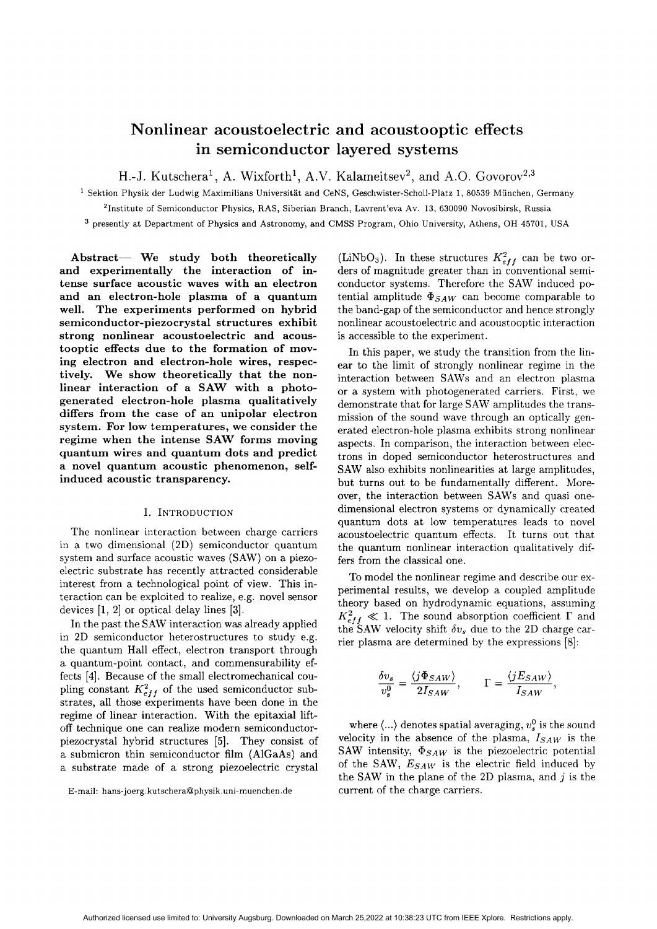# **Nonlinear acoustoelectric and acoustooptic effects in semiconductor layered systems**

**H.**-J. Kutschera<sup>1</sup>, A. Wixforth<sup>1</sup>, A.V. Kalameitsev<sup>2</sup>, and A.O. Govorov<sup>2,3</sup>

**Sektion Physik der Ludwig hfaximilians Universitat and CeNS,** Geschwister-Scholl-Platz **1, 80539 Miinchen, Germany**

**'Institute of Semiconductor Physics, RAS, Siberian Branch, Lavrent'eva Av. 13, 630090 Novosibirsk, Russia**

**presently at Department of Physics and Astronomy, and CMSS Program, Ohio University, Athens, OH 45701, USA**

**Abstract- We study both theoretically and experimentally the interaction of intense surface acoustic waves with an electron and an electron-hole plasma of a quantum well. The experiments performed on hybrid semiconductor-piezocrystal structures exhibit strong nonlinear acoustoelectric and acoustooptic effects due to the formation of moving electron and electron-hole wires, respectively. We show theoretically that the nonlinear interaction of a SAW with a photogenerated electron-hole plasma qualitatively differs from the case of an unipolar electron system. For low temperatures, we consider the regime when the intense SAW forms moving quantum wires and quantum dots and predict a novel quantum acoustic phenomenon, selfinduced acoustic transparency.**

## **I. INTRODUCTION**

The nonlinear interaction between charge carriers in a two dimensional (2D) semiconductor quantum system and surface acoustic waves (SAW) on a piezoelectric substrate has recently attracted considerable interest from a technological point of view. This interaction can be exploited to realize, e.g. novel sensor devices **[l,**<sup>21</sup> or optical delay lines **[3].**

In the past the SAW interaction was already applied in 2D semiconductor heterostructures to study e.g. the quantum Hall effect, electron transport through a quantum-point contact, and commensurability effects **[4].** Because of the small electromechanical coupling constant  $K_{eff}^2$  of the used semiconductor substrates, all those experiments have been done in the regime of linear interaction. With the epitaxial liftoff technique one can realize modern semiconductorpiezocrystal hybrid structures *[5].* They consist of a submicron thin semiconductor film (AlGaAs) and a substrate made of a strong piezoelectric crystal (LiNbO<sub>3</sub>). In these structures  $K_{eff}^2$  can be two orders of magnitude greater than in conventional semiconductor systems. Therefore the SAW induced potential amplitude  $\Phi_{SAW}$  can become comparable to the band-gap of the semiconductor and hence strongly nonlinear acoustoelectric and acoustooptic interaction is accessible to the experiment.

In this paper, we study the transition from the linear to the limit of strongly nonlinear regime in the interaction between SAWS and an electron plasma or a system with photogenerated carriers. First, we demonstrate that for large SAW amplitudes the transmission of the sound wave through an optically generated electron-hole plasma exhibits strong nonlinear aspects. In comparison, the interaction between electrons in doped semiconductor heterostructures and SAW also exhibits nonlinearities at large amplitudes, but turns out to be fundamentally different. Moreover, the interaction between SAWS and quasi onedimensional electron systems or dynamically created quantum dots at low temperatures leads to novel acoustoelectric quantum effects. It turns out that the quantum nonlinear interaction qualitatively differs from the classical one.

To model the nonlinear regime and describe our experimental results, we develop a coupled amplitude theory based on hydrodynamic equations, assuming  $K_{eff}^2 \ll 1$ . The sound absorption coefficient  $\Gamma$  and the SAW velocity shift  $\delta v_s$  due to the 2D charge carrier plasma are determined by the expressions *[8]:*

$$
\frac{\delta v_s}{v_s^0} = \frac{\langle j\Phi_{SAW}\rangle}{2I_{SAW}}, \qquad \Gamma = \frac{\langle jE_{SAW}\rangle}{I_{SAW}},
$$

where  $\langle ... \rangle$  denotes spatial averaging,  $v_s^0$  is the sound velocity in the absence of the plasma,  $I_{SAW}$  is the SAW intensity,  $\Phi_{SAW}$  is the piezoelectric potential of the SAW,  $E_{SAW}$  is the electric field induced by the SAW in the plane of the 2D plasma, and **j** is the current of the charge carriers.

**E-mail: hans-joerg.kutschera@physik.uni-muenchen.de**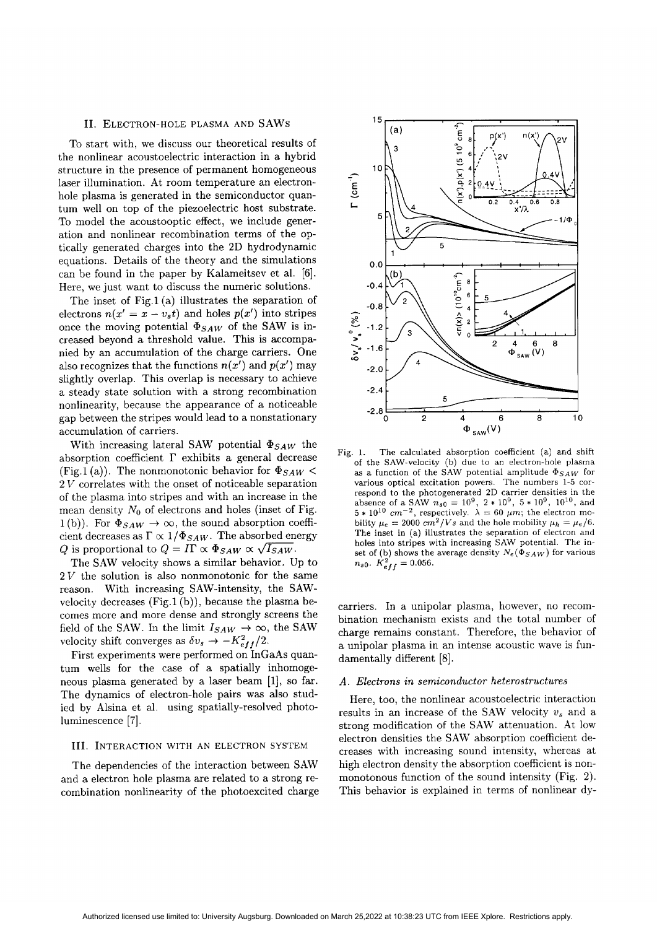### 11. ELECTRON-HOLPLEASMA **AND SAWS**

To start with, we discuss our theoretical results of the nonlinear acoustoelectric interaction in a hybrid structure in the presence of permanent homogeneous laser illumination. At room temperature an electronhole plasma is generated in the semiconductor quantum well on top of the piezoelectric host substrate. To model the acoustooptic effect, we include generation and nonlinear recombination terms of the optically generated charges into the 2D hydrodynamic equations. Details of the theory and the simulations can be found in the paper by Kalameitsev et al. **[6].** Here, we just want to discuss the numeric solutions.

The inset of Fig.1 (a) illustrates the separation of electrons  $n(x' = x - v_s t)$  and holes  $p(x')$  into stripes once the moving potential  $\Phi_{SAW}$  of the SAW is increased beyond a threshold value. This is accompanied by an accumulation of the charge carriers. One also recognizes that the functions  $n(x')$  and  $p(x')$  may slightly overlap. This overlap is necessary to achieve a steady state solution with a strong recombination nonlinearity, because the appearance of a noticeable gap between the stripes would lead to a nonstationary accumulation of carriers.

With increasing lateral SAW potential  $\Phi_{SAW}$  the absorption coefficient  $\Gamma$  exhibits a general decrease (Fig.1 (a)). The nonmonotonic behavior for  $\Phi_{SAW}$  <  $2 V$  correlates with the onset of noticeable separation of the plasma into stripes and with an increase in the mean density *No* of electrons and holes (inset of Fig. 1(b)). For  $\Phi_{SAW} \rightarrow \infty$ , the sound absorption coefficient decreases as  $\Gamma \propto 1/\Phi_{SAW}$ . The absorbed energy Q is proportional to  $Q = I\Gamma \propto \Phi_{SAW} \propto \sqrt{I_{SAW}}$ .

The SAW velocity shows a similar behavior. Up to  $2V$  the solution is also nonmonotonic for the same reason. With increasing SAW-intensity, the SAWvelocity decreases  $(Fig.1(b))$ , because the plasma becomes more and more dense and strongly screens the field of the SAW. In the limit  $I_{SAW} \rightarrow \infty$ , the SAW velocity shift converges as  $\delta v_s \rightarrow -K_{eff}^2/2$ .

First experiments were performed on InGaAs quantum wells for the case of a spatially inhomogeneous plasma generated by a laser beam  $[1]$ , so far. The dynamics of electron-hole pairs was also studied by Alsina et al. using spatially-resolved photoluminescence *[7].*

#### 111. INTERACTION WITH AN ELECTRON SYSTEM

The dependencies of the interaction between SAW and a electron hole plasma are related to a strong recombination nonlinearity of the photoexcited charge



Fig. 1. The calculated absorption coefficient (a) and shift of the SAW-velocity (b) due to an electron-hole plasma as a function of the SAW potential amplitude  $\Phi_{SAW}$  for various optical excitation powers. The numbers 1-5 correspond to the photogenerated 2D carrier densities in the absence of a SAW  $n_{s0} = 10^9$ ,  $2 * 10^9$ ,  $5 * 10^9$ ,  $10^{10}$ , and  $5*10^{10}$  cm<sup>-2</sup>, respectively.  $\lambda = 60 \ \mu m$ ; the electron mobility  $\mu_e = 2000 \text{ cm}^2/V$ s and the hole mobility  $\mu_h = \mu_e/6$ . The inset in (a) illustrates the separation of electron and holes into stripes with increasing SAW potential. The inset of (b) shows the average density  $N_e(\Phi_{SAW})$  for various  $n_{s0}$ .  $K_{eff}^2 = 0.056$ .

carriers. In a unipolar plasma, however, no recombination mechanism exists and the total number of charge remains constant. Therefore, the behavior of a unipolar plasma in an intense acoustic wave is fundamentally different **[8].**

## *A . Electrons in semiconductor heterostructures*

Here, too, the nonlinear acoustoelectric interaction results in an increase of the SAW velocity  $v_s$  and a strong modification of the SAW attenuation. At low electron densities the SAW absorption coefficient decreases with increasing sound intensity, whereas at high electron density the absorption coefficient is nonmonotonous function of the sound intensity (Fig. 2). This behavior is explained in terms of nonlinear dy-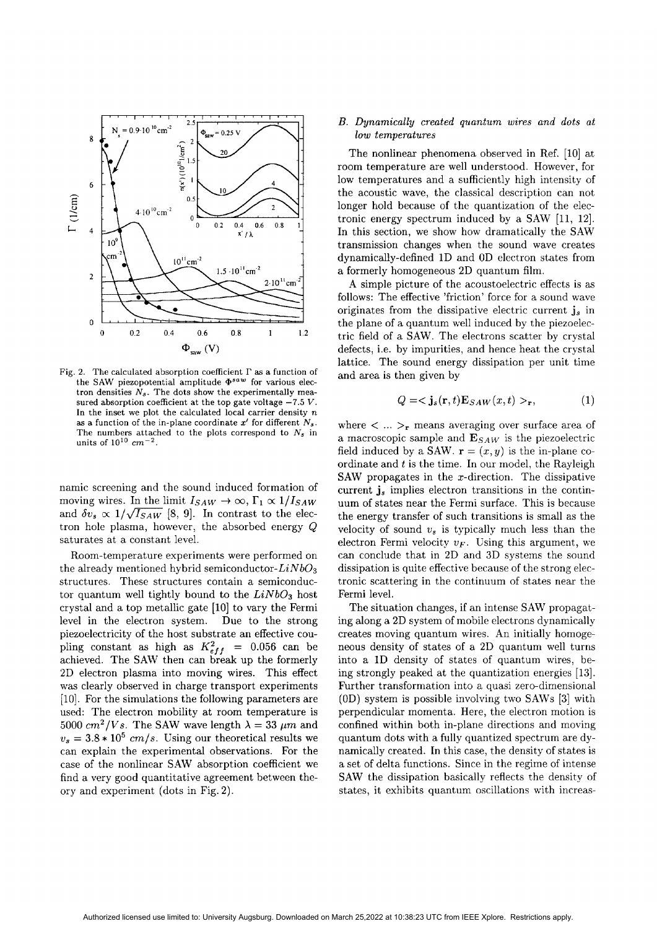

Fig. 2. The calculated absorption coefficient  $\Gamma$  as a function of the SAW piezopotential amplitude  $\Phi^{saw}$  for various electron densities  $N_s$ . The dots show the experimentally measured absorption coefficient at the top gate voltage *-7.5* V. In the inset we plot the calculated local carrier density *n* as a function of the in-plane coordinate  $x'$  for different  $N_s$ . The numbers attached to the plots correspond to *Ns* in units of  $10^{10}$   $cm^{-2}$ .

namic screening and the sound induced formation of moving wires. In the limit  $I_{SAW} \rightarrow \infty$ ,  $\Gamma_1 \propto 1 / I_{SAW}$ and  $\delta v_s \propto 1/\sqrt{I_{SAW}}$  [8, 9]. In contrast to the electron hole plasma, however, the absorbed energy Q saturates at a constant level.

Room-temperature experiments were performed on the already mentioned hybrid semiconductor-Li*Nb03* structures. These structures contain a semiconductor quantum well tightly bound to the  $LiNbO<sub>3</sub>$  host crystal and a top metallic gate [lo] to vary the Fermi level in the electron system. Due to the strong piezoelectricity of the host substrate an effective coupling constant as high as  $K_{eff}^2$  = 0.056 can be achieved. The SAW then can break up the formerly 2D electron plasma into moving wires. This effect was clearly observed in charge transport experiments [lo]. For the simulations the following parameters are used: The electron mobility at room temperature is 5000  $cm^2/Vs$ . The SAW wave length  $\lambda = 33 \ \mu m$  and  $v_s = 3.8 * 10^5$  *cm/s.* Using our theoretical results we can explain the experimental observations. For the case of the nonlinear **SAW** absorption coefficient we find a very good quantitative agreement between theory and experiment (dots in Fig. 2).

### *B. Dynamically created quantum wires and dots at low temperatures*

The nonlinear phenomena observed in Ref. [10] at room temperature are well understood. However, for low temperatures and a sufficiently high intensity of the acoustic wave, the classical description can not longer hold because of the quantization of the electronic energy spectrum induced by a SAW [11, 12]. In this section, we show how dramatically the SAU' transmission changes when the sound wave creates dynamically-defined 1D and OD electron states from a formerly homogeneous 2D quantum film.

**A** simple picture of the acoustoelectric effects is as follows: The effective 'friction' force for a sound wave originates from the dissipative electric current **j,** in the plane of a quantum well induced by the piezoelectric field of a SAW. The electrons scatter by crystal defects, i.e. by impurities, and hence heat the crystal lattice. The sound energy dissipation per unit time and area is then given by

$$
Q = \langle \mathbf{j}_s(\mathbf{r}, t) \mathbf{E}_{SAW}(x, t) >_{\mathbf{r}}, \tag{1}
$$

where  $\langle \dots \rangle_r$  means averaging over surface area of a macroscopic sample and  $\mathbf{E}_{SAW}$  is the piezoelectric field induced by a SAW.  $\mathbf{r} = (x, y)$  is the in-plane coordinate and *t* is the time. In our model, the Rayleigh SAW propagates in the x-direction. The dissipative current **j,** implies electron transitions in the continuum of states near the Fermi surface. This is because the energy transfer of such transitions is small as the velocity of sound  $v_s$  is typically much less than the electron Fermi velocity  $v_F$ . Using this argument, we can conclude that in 2D and 3D systems the sound dissipation is quite effective because of the strong electronic scattering in the continuum of states near the Fermi level.

The situation changes, if an intense SAW propagating along a 2D system of mobile electrons dynamically creates moving quantum wires. An initially homogeneous density of states of a 2D quantum well turns into a 1D density of states of quantum wires, being strongly peaked at the quantization energies **[13].** Further transformation into a quasi zero-dimensional  $(0D)$  system is possible involving two SAWs [3] with perpendicular momenta. Here, the electron motion is confined within both in-plane directions and moving quantum dots with a fully quantized spectrum are dynamically created. In this case, the density of states is a set of delta functions. Since in the regime of intense SAW the dissipation basically reflects the density of states, it exhibits quantum oscillations with increas-